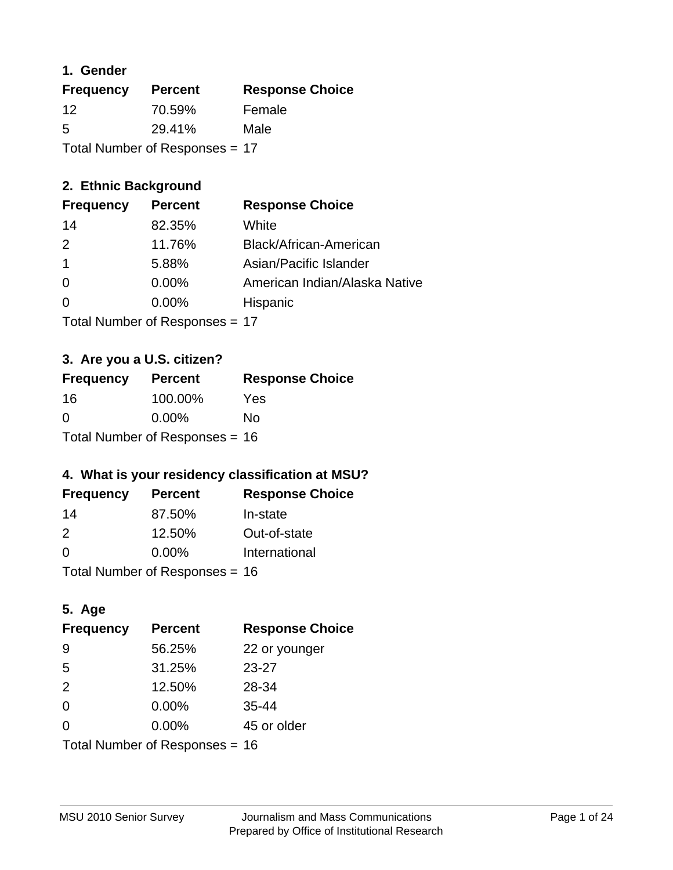### **1. Gender**

| <b>Frequency</b>               | <b>Percent</b> | <b>Response Choice</b> |
|--------------------------------|----------------|------------------------|
| $12 \,$                        | 70.59%         | Female                 |
| 5                              | 29.41%         | Male                   |
| Total Number of Responses = 17 |                |                        |

### **2. Ethnic Background**

| <b>Frequency</b> | <b>Percent</b> | <b>Response Choice</b>        |
|------------------|----------------|-------------------------------|
| 14               | 82.35%         | White                         |
| $\mathcal{P}$    | 11.76%         | Black/African-American        |
|                  | 5.88%          | Asian/Pacific Islander        |
| $\Omega$         | 0.00%          | American Indian/Alaska Native |
|                  | 0.00%          | Hispanic                      |
|                  |                |                               |

Total Number of Responses = 17

### **3. Are you a U.S. citizen?**

| <b>Frequency</b>                 | <b>Percent</b> | <b>Response Choice</b> |
|----------------------------------|----------------|------------------------|
| -16                              | 100.00%        | Yes                    |
| $\Omega$                         | $0.00\%$       | Nο                     |
| Total Number of Responses = $16$ |                |                        |

### **4. What is your residency classification at MSU?**

| <b>Frequency</b> | <b>Percent</b> | <b>Response Choice</b> |
|------------------|----------------|------------------------|
| 14               | 87.50%         | In-state               |
| $\mathcal{P}$    | 12.50%         | Out-of-state           |
| $\Omega$         | $0.00\%$       | International          |
|                  |                |                        |

Total Number of Responses = 16

## **5. Age**

| <b>Frequency</b>                 | <b>Percent</b> | <b>Response Choice</b> |
|----------------------------------|----------------|------------------------|
| -9                               | 56.25%         | 22 or younger          |
| 5                                | 31.25%         | $23 - 27$              |
| 2                                | 12.50%         | 28-34                  |
| $\Omega$                         | 0.00%          | $35 - 44$              |
| 0                                | 0.00%          | 45 or older            |
| Total Number of Responses = $16$ |                |                        |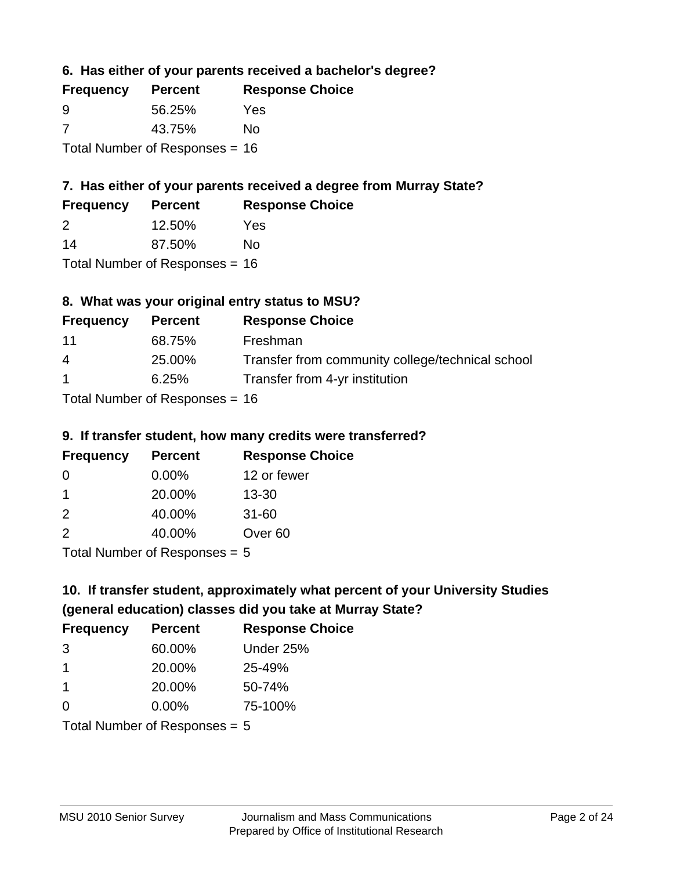**6. Has either of your parents received a bachelor's degree?**

| <b>Frequency</b>                 | <b>Percent</b> | <b>Response Choice</b> |
|----------------------------------|----------------|------------------------|
| -9                               | 56.25%         | Yes                    |
| -7                               | 43.75%         | No                     |
| Total Number of Responses = $16$ |                |                        |

## **7. Has either of your parents received a degree from Murray State?**

| <b>Frequency</b> | <b>Percent</b> | <b>Response Choice</b> |
|------------------|----------------|------------------------|
| 2                | 12.50%         | Yes                    |
| -14              | 87.50%         | No                     |

Total Number of Responses = 16

### **8. What was your original entry status to MSU?**

| <b>Frequency</b>                 | <b>Percent</b> | <b>Response Choice</b>                           |
|----------------------------------|----------------|--------------------------------------------------|
| 11                               | 68.75%         | Freshman                                         |
| 4                                | 25.00%         | Transfer from community college/technical school |
| $\mathbf 1$                      | 6.25%          | Transfer from 4-yr institution                   |
| $Total Number of Doononoog = 46$ |                |                                                  |

Total Number of Responses = 16

#### **9. If transfer student, how many credits were transferred?**

| <b>Frequency</b>           | <b>Percent</b> | <b>Response Choice</b> |
|----------------------------|----------------|------------------------|
| -0                         | $0.00\%$       | 12 or fewer            |
|                            | 20.00%         | $13 - 30$              |
| $\mathcal{P}$              | 40.00%         | $31 - 60$              |
| $\mathcal{P}$              | 40.00%         | Over <sub>60</sub>     |
| Tatal Number of Desperance |                |                        |

Total Number of Responses = 5

## **10. If transfer student, approximately what percent of your University Studies (general education) classes did you take at Murray State?**

| <b>Frequency</b>                | <b>Percent</b> | <b>Response Choice</b> |
|---------------------------------|----------------|------------------------|
| 3                               | 60.00%         | Under 25%              |
| 1                               | 20.00%         | 25-49%                 |
| $\mathbf 1$                     | 20.00%         | 50-74%                 |
| $\Omega$                        | 0.00%          | 75-100%                |
| Total Number of Responses $= 5$ |                |                        |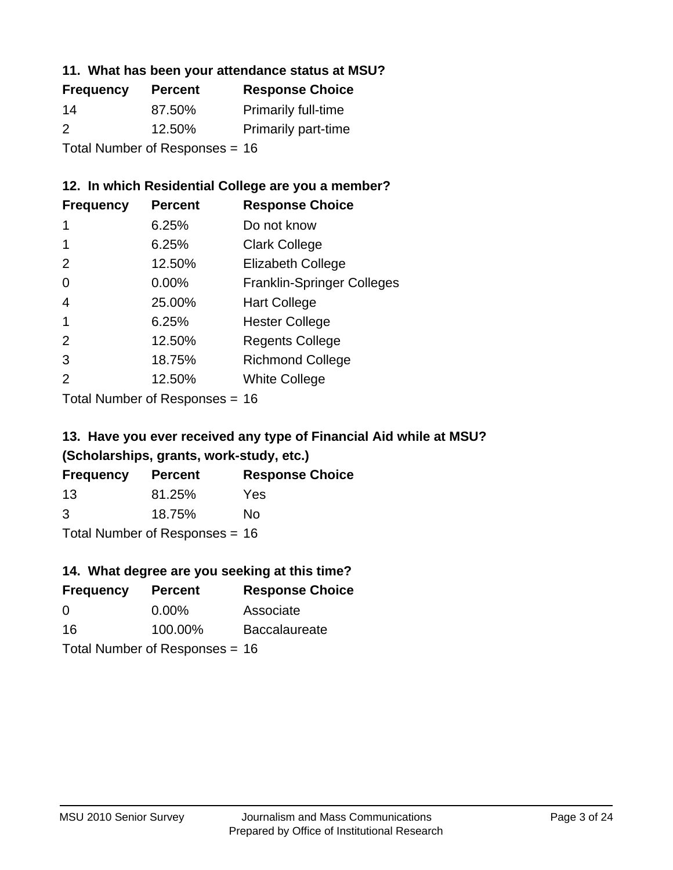### **11. What has been your attendance status at MSU?**

| <b>Frequency</b>               | <b>Percent</b> | <b>Response Choice</b>     |
|--------------------------------|----------------|----------------------------|
| 14                             | 87.50%         | <b>Primarily full-time</b> |
| $\mathcal{P}$                  | 12.50%         | <b>Primarily part-time</b> |
| Total Number of Responses = 16 |                |                            |

### **12. In which Residential College are you a member?**

| <b>Frequency</b> | <b>Percent</b> | <b>Response Choice</b>            |
|------------------|----------------|-----------------------------------|
| 1                | 6.25%          | Do not know                       |
|                  | 6.25%          | <b>Clark College</b>              |
| 2                | 12.50%         | <b>Elizabeth College</b>          |
| 0                | $0.00\%$       | <b>Franklin-Springer Colleges</b> |
| 4                | 25.00%         | <b>Hart College</b>               |
| 1                | 6.25%          | <b>Hester College</b>             |
| $\mathcal{P}$    | 12.50%         | <b>Regents College</b>            |
| 3                | 18.75%         | <b>Richmond College</b>           |
| 2                | 12.50%         | <b>White College</b>              |
|                  |                |                                   |

Total Number of Responses = 16

## **13. Have you ever received any type of Financial Aid while at MSU? (Scholarships, grants, work-study, etc.)**

| <b>Frequency</b> | <b>Percent</b>             | <b>Response Choice</b> |
|------------------|----------------------------|------------------------|
| 13               | 81.25%                     | Yes                    |
| 3                | 18.75%                     | Nο                     |
|                  | Total Number of Desperance |                        |

Total Number of Responses = 16

## **14. What degree are you seeking at this time?**

| <b>Frequency</b> | <b>Percent</b>                   | <b>Response Choice</b> |
|------------------|----------------------------------|------------------------|
| 0                | $0.00\%$                         | Associate              |
| 16               | 100.00%                          | <b>Baccalaureate</b>   |
|                  | Total Number of Responses = $16$ |                        |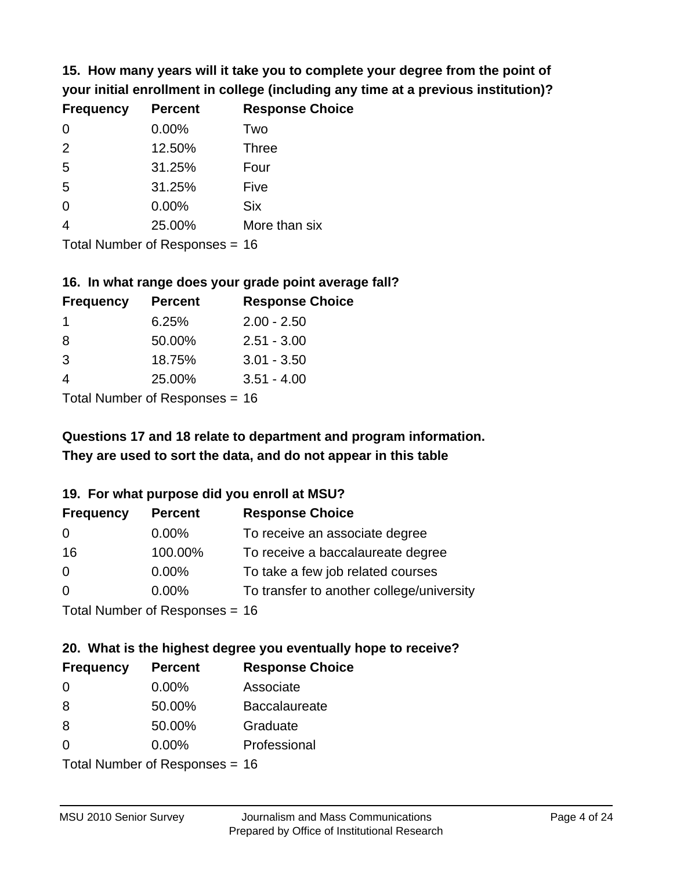**15. How many years will it take you to complete your degree from the point of your initial enrollment in college (including any time at a previous institution)?**

| <b>Frequency</b> | <b>Percent</b> | <b>Response Choice</b> |
|------------------|----------------|------------------------|
| $\Omega$         | 0.00%          | Two                    |
| 2                | 12.50%         | <b>Three</b>           |
| 5                | 31.25%         | Four                   |
| 5                | 31.25%         | Five                   |
| 0                | 0.00%          | <b>Six</b>             |
| $\overline{4}$   | 25.00%         | More than six          |
|                  |                |                        |

Total Number of Responses = 16

#### **16. In what range does your grade point average fall?**

| <b>Frequency</b> | <b>Percent</b> | <b>Response Choice</b> |
|------------------|----------------|------------------------|
|                  | 6.25%          | $2.00 - 2.50$          |
| 8                | 50.00%         | $2.51 - 3.00$          |
| 3                | 18.75%         | $3.01 - 3.50$          |
|                  | 25.00%         | $3.51 - 4.00$          |
|                  |                |                        |

Total Number of Responses = 16

## **They are used to sort the data, and do not appear in this table Questions 17 and 18 relate to department and program information.**

#### **19. For what purpose did you enroll at MSU?**

| <b>Frequency</b>               | <b>Percent</b> | <b>Response Choice</b>                    |
|--------------------------------|----------------|-------------------------------------------|
| 0                              | $0.00\%$       | To receive an associate degree            |
| 16                             | 100.00%        | To receive a baccalaureate degree         |
| 0                              | $0.00\%$       | To take a few job related courses         |
| $\Omega$                       | $0.00\%$       | To transfer to another college/university |
| Total Number of Reconnege - 16 |                |                                           |

Total Number of Responses = 16

## **20. What is the highest degree you eventually hope to receive?**

| <b>Frequency</b> | <b>Percent</b>            | <b>Response Choice</b> |
|------------------|---------------------------|------------------------|
| 0                | 0.00%                     | Associate              |
| 8                | 50.00%                    | <b>Baccalaureate</b>   |
| 8                | 50.00%                    | Graduate               |
| $\Omega$         | 0.00%                     | Professional           |
|                  | Total Number of Desponses |                        |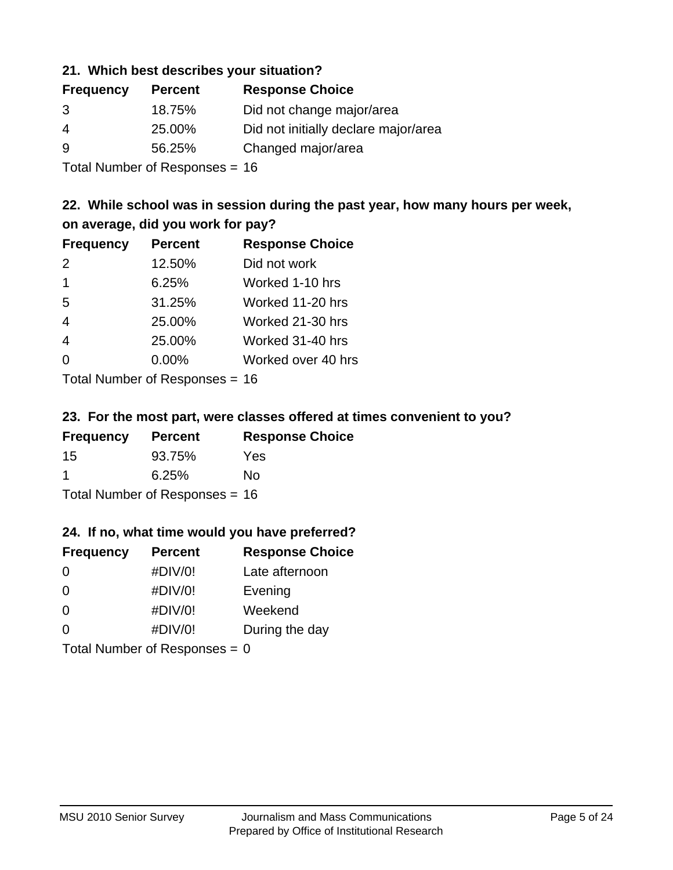### **21. Which best describes your situation?**

| <b>Frequency</b> | <b>Percent</b> | <b>Response Choice</b>               |
|------------------|----------------|--------------------------------------|
| 3                | 18.75%         | Did not change major/area            |
| 4                | 25.00%         | Did not initially declare major/area |
| 9                | 56.25%         | Changed major/area                   |
|                  |                |                                      |

Total Number of Responses = 16

### **22. While school was in session during the past year, how many hours per week, on average, did you work for pay?**

| <b>Frequency</b> | <b>Percent</b> | <b>Response Choice</b> |
|------------------|----------------|------------------------|
| 2                | 12.50%         | Did not work           |
| $\mathbf 1$      | 6.25%          | Worked 1-10 hrs        |
| 5                | 31.25%         | Worked 11-20 hrs       |
| $\overline{4}$   | 25.00%         | Worked 21-30 hrs       |
| $\overline{4}$   | 25.00%         | Worked 31-40 hrs       |
| $\Omega$         | 0.00%          | Worked over 40 hrs     |
|                  |                |                        |

Total Number of Responses = 16

#### **23. For the most part, were classes offered at times convenient to you?**

| <b>Frequency</b>                 | <b>Percent</b> | <b>Response Choice</b> |
|----------------------------------|----------------|------------------------|
| -15                              | 93.75%         | Yes                    |
| -1                               | 6.25%          | Nο                     |
| Total Number of Responses = $16$ |                |                        |

#### **24. If no, what time would you have preferred?**

| <b>Frequency</b>                | <b>Percent</b> | <b>Response Choice</b> |
|---------------------------------|----------------|------------------------|
| $\Omega$                        | #DIV/0!        | Late afternoon         |
| 0                               | #DIV/0!        | Evening                |
| 0                               | #DIV/0!        | Weekend                |
| $\Omega$                        | #DIV/0!        | During the day         |
| Total Number of Responses = $0$ |                |                        |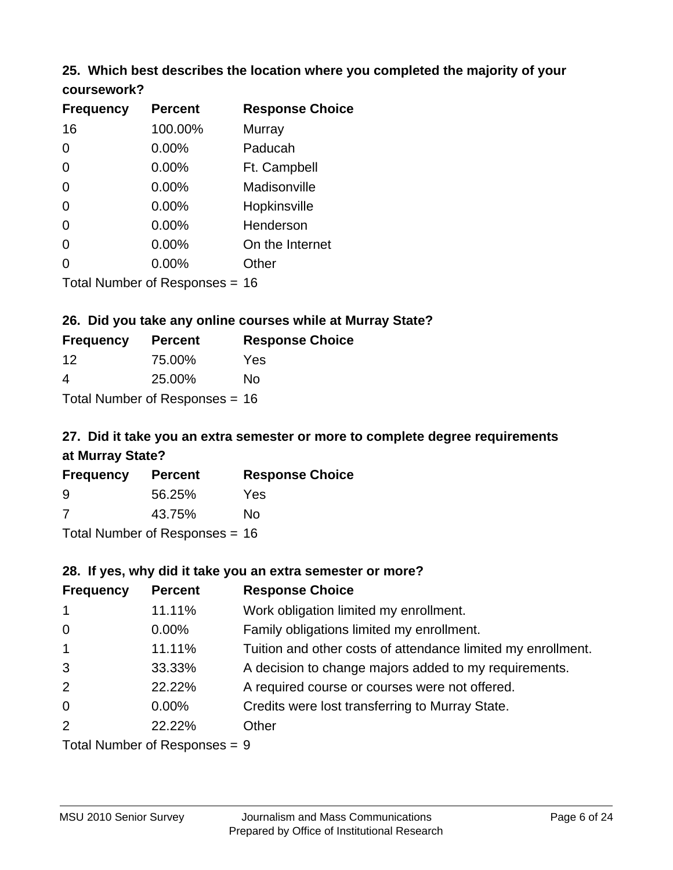# **25. Which best describes the location where you completed the majority of your**

| coursework? |  |
|-------------|--|
|-------------|--|

| <b>Frequency</b> | <b>Percent</b>                 | <b>Response Choice</b> |
|------------------|--------------------------------|------------------------|
| 16               | 100.00%                        | Murray                 |
| 0                | 0.00%                          | Paducah                |
| 0                | 0.00%                          | Ft. Campbell           |
| $\overline{0}$   | 0.00%                          | Madisonville           |
| 0                | 0.00%                          | Hopkinsville           |
| 0                | $0.00\%$                       | Henderson              |
| 0                | 0.00%                          | On the Internet        |
| 0                | $0.00\%$                       | Other                  |
|                  | Total Number of Responses = 16 |                        |

### **26. Did you take any online courses while at Murray State?**

| <b>Frequency</b> | <b>Percent</b>                 | <b>Response</b> |
|------------------|--------------------------------|-----------------|
| 12               | 75.00%                         | Yes             |
| 4                | 25.00%                         | No.             |
|                  | Total Number of Responses = 16 |                 |

## **27. Did it take you an extra semester or more to complete degree requirements at Murray State?**

**Choice** 

| <b>Frequency</b> | <b>Percent</b>                   | <b>Response Choice</b> |
|------------------|----------------------------------|------------------------|
| 9                | 56.25%                           | Yes                    |
| 7                | 43.75%                           | No                     |
|                  | Total Number of Responses = $16$ |                        |

#### **28. If yes, why did it take you an extra semester or more?**

| <b>Frequency</b> | <b>Percent</b>                  | <b>Response Choice</b>                                       |
|------------------|---------------------------------|--------------------------------------------------------------|
| $\overline{1}$   | 11.11%                          | Work obligation limited my enrollment.                       |
| $\overline{0}$   | $0.00\%$                        | Family obligations limited my enrollment.                    |
| $\mathbf{1}$     | 11.11%                          | Tuition and other costs of attendance limited my enrollment. |
| 3                | 33.33%                          | A decision to change majors added to my requirements.        |
| 2                | 22.22%                          | A required course or courses were not offered.               |
| $\mathbf 0$      | $0.00\%$                        | Credits were lost transferring to Murray State.              |
| 2                | 22.22%                          | Other                                                        |
|                  | Total Number of Poenonces $= 0$ |                                                              |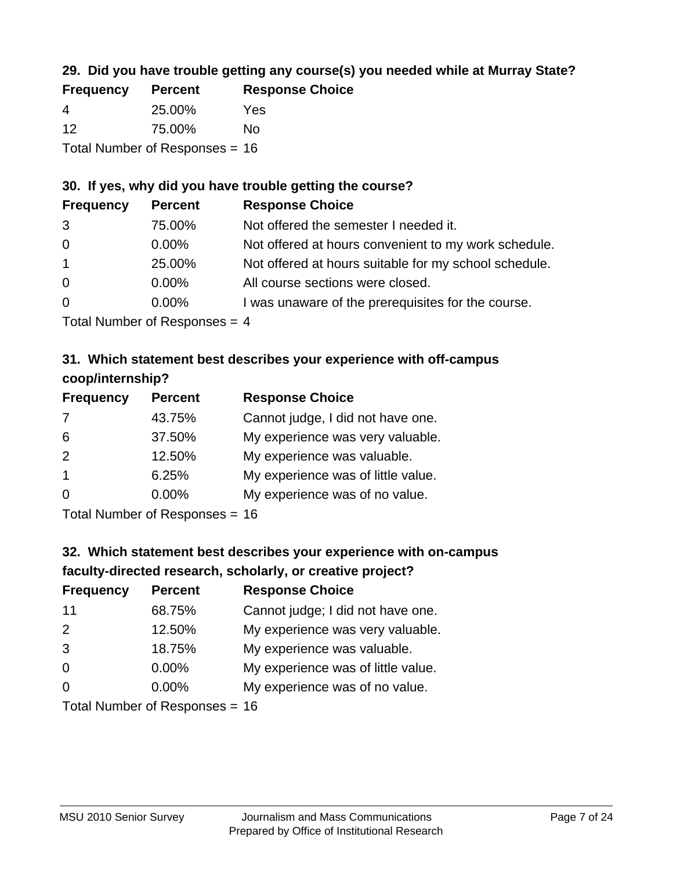### **29. Did you have trouble getting any course(s) you needed while at Murray State?**

| <b>Frequency</b>                 | <b>Percent</b> | <b>Response Choice</b> |  |  |
|----------------------------------|----------------|------------------------|--|--|
| -4                               | 25.00%         | Yes                    |  |  |
| -12                              | 75.00%         | Nο                     |  |  |
| Total Number of Responses = $16$ |                |                        |  |  |

#### **30. If yes, why did you have trouble getting the course?**

| <b>Frequency</b> | <b>Percent</b>               | <b>Response Choice</b>                                |
|------------------|------------------------------|-------------------------------------------------------|
| 3                | 75.00%                       | Not offered the semester I needed it.                 |
| $\overline{0}$   | $0.00\%$                     | Not offered at hours convenient to my work schedule.  |
| $\overline{1}$   | 25.00%                       | Not offered at hours suitable for my school schedule. |
| $\overline{0}$   | $0.00\%$                     | All course sections were closed.                      |
| $\overline{0}$   | $0.00\%$                     | I was unaware of the prerequisites for the course.    |
|                  | $\tau$ . The state of $\sim$ |                                                       |

Total Number of Responses = 4

### **31. Which statement best describes your experience with off-campus coop/internship?**

| <b>Frequency</b> | <b>Percent</b> | <b>Response Choice</b>             |
|------------------|----------------|------------------------------------|
| 7                | 43.75%         | Cannot judge, I did not have one.  |
| 6                | 37.50%         | My experience was very valuable.   |
| 2                | 12.50%         | My experience was valuable.        |
| $\overline{1}$   | 6.25%          | My experience was of little value. |
| $\Omega$         | 0.00%          | My experience was of no value.     |
|                  |                |                                    |

Total Number of Responses = 16

## **32. Which statement best describes your experience with on-campus faculty-directed research, scholarly, or creative project?**

| <b>Frequency</b> | <b>Percent</b>            | <b>Response Choice</b>             |
|------------------|---------------------------|------------------------------------|
| 11               | 68.75%                    | Cannot judge; I did not have one.  |
| 2                | 12.50%                    | My experience was very valuable.   |
| 3                | 18.75%                    | My experience was valuable.        |
| $\Omega$         | 0.00%                     | My experience was of little value. |
| $\Omega$         | 0.00%                     | My experience was of no value.     |
|                  | Tatal Number of Despenses |                                    |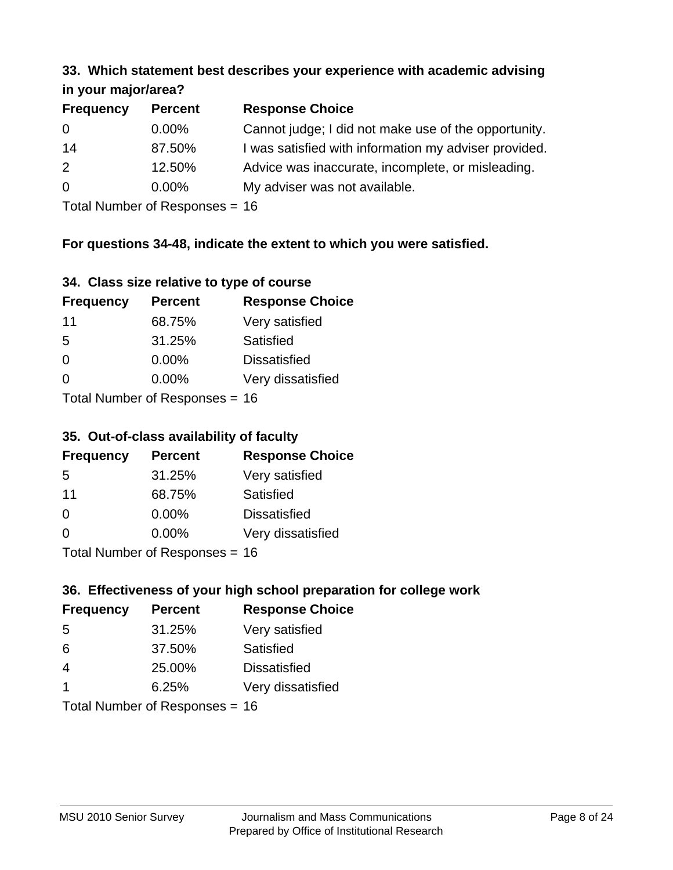#### **33. Which statement best describes your experience with academic advising in your major/area?**

| $\cdots$ your mapproved. |                |                                                       |
|--------------------------|----------------|-------------------------------------------------------|
| <b>Frequency</b>         | <b>Percent</b> | <b>Response Choice</b>                                |
| 0                        | $0.00\%$       | Cannot judge; I did not make use of the opportunity.  |
| 14                       | 87.50%         | I was satisfied with information my adviser provided. |
| 2                        | 12.50%         | Advice was inaccurate, incomplete, or misleading.     |
| 0                        | $0.00\%$       | My adviser was not available.                         |
|                          |                |                                                       |

Total Number of Responses = 16

### **For questions 34-48, indicate the extent to which you were satisfied.**

| 34. Class size relative to type of course |  |  |  |  |  |  |  |  |
|-------------------------------------------|--|--|--|--|--|--|--|--|
|-------------------------------------------|--|--|--|--|--|--|--|--|

| <b>Frequency</b> | <b>Percent</b>                 | <b>Response Choice</b> |
|------------------|--------------------------------|------------------------|
| -11              | 68.75%                         | Very satisfied         |
| -5               | 31.25%                         | Satisfied              |
| $\Omega$         | 0.00%                          | <b>Dissatisfied</b>    |
| $\Omega$         | $0.00\%$                       | Very dissatisfied      |
|                  | Total Number of Responses - 16 |                        |

Total Number of Responses = 16

### **35. Out-of-class availability of faculty**

| <b>Frequency</b> | <b>Percent</b>            | <b>Response Choice</b> |
|------------------|---------------------------|------------------------|
| 5                | 31.25%                    | Very satisfied         |
| 11               | 68.75%                    | Satisfied              |
| $\Omega$         | $0.00\%$                  | <b>Dissatisfied</b>    |
| $\Omega$         | $0.00\%$                  | Very dissatisfied      |
|                  | Total Number of Desponses |                        |

Total Number of Responses = 16

### **36. Effectiveness of your high school preparation for college work**

| <b>Frequency</b>               | <b>Percent</b> | <b>Response Choice</b> |  |  |
|--------------------------------|----------------|------------------------|--|--|
| 5                              | 31.25%         | Very satisfied         |  |  |
| 6                              | 37.50%         | Satisfied              |  |  |
| $\overline{4}$                 | 25.00%         | <b>Dissatisfied</b>    |  |  |
| $\overline{\mathbf{1}}$        | 6.25%          | Very dissatisfied      |  |  |
| Total Number of Responses = 16 |                |                        |  |  |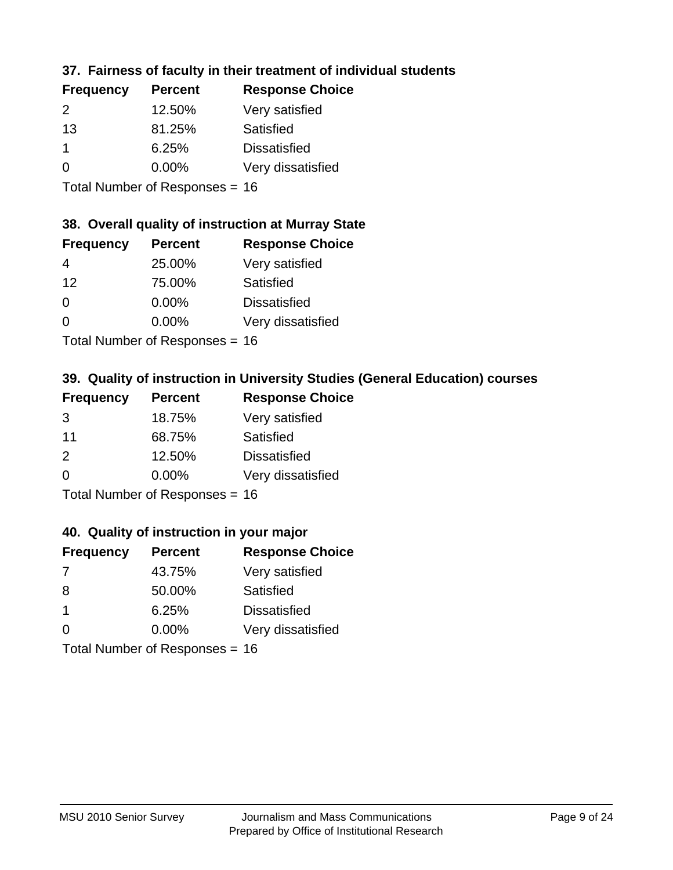### **37. Fairness of faculty in their treatment of individual students**

| <b>Frequency</b> | <b>Percent</b> | <b>Response Choice</b> |
|------------------|----------------|------------------------|
| $\mathcal{P}$    | 12.50%         | Very satisfied         |
| 13               | 81.25%         | Satisfied              |
|                  | 6.25%          | <b>Dissatisfied</b>    |
| $\Omega$         | 0.00%          | Very dissatisfied      |
|                  |                |                        |

Total Number of Responses = 16

#### **38. Overall quality of instruction at Murray State**

| <b>Frequency</b> | <b>Percent</b> | <b>Response Choice</b> |
|------------------|----------------|------------------------|
| 4                | 25.00%         | Very satisfied         |
| 12               | 75.00%         | Satisfied              |
| $\Omega$         | 0.00%          | <b>Dissatisfied</b>    |
| $\Omega$         | 0.00%          | Very dissatisfied      |
|                  |                |                        |

Total Number of Responses = 16

### **39. Quality of instruction in University Studies (General Education) courses**

| <b>Frequency</b> | <b>Percent</b>            | <b>Response Choice</b> |
|------------------|---------------------------|------------------------|
| 3                | 18.75%                    | Very satisfied         |
| 11               | 68.75%                    | <b>Satisfied</b>       |
| $\mathcal{P}$    | 12.50%                    | <b>Dissatisfied</b>    |
| $\Omega$         | 0.00%                     | Very dissatisfied      |
|                  | Total Number of Deepensee |                        |

Total Number of Responses = 16

#### **40. Quality of instruction in your major**

| <b>Frequency</b> | <b>Percent</b>            | <b>Response Choice</b> |
|------------------|---------------------------|------------------------|
| 7                | 43.75%                    | Very satisfied         |
| 8                | 50.00%                    | Satisfied              |
| -1               | 6.25%                     | <b>Dissatisfied</b>    |
| $\Omega$         | $0.00\%$                  | Very dissatisfied      |
|                  | Total Number of Deepensee |                        |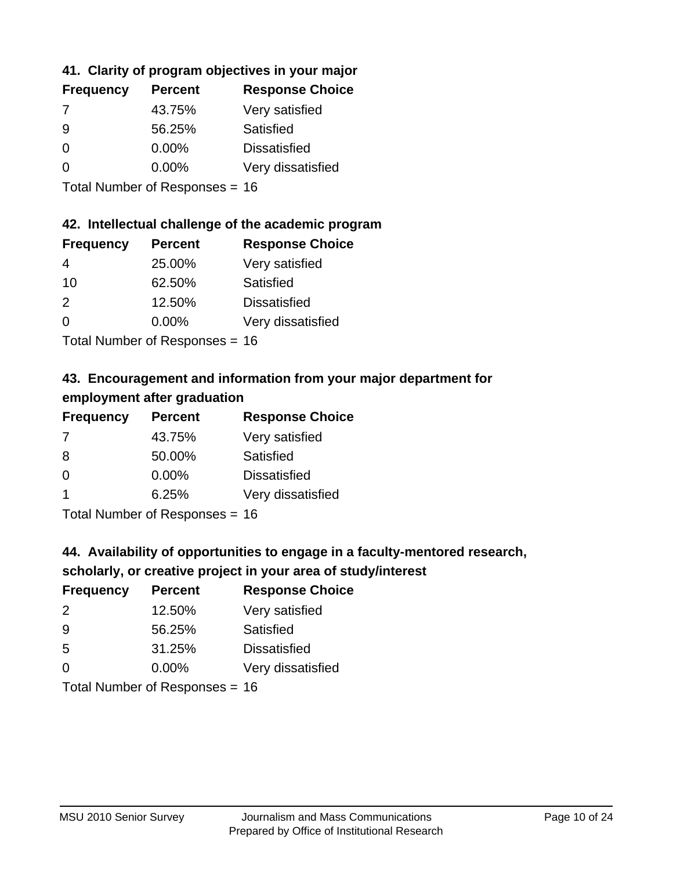### **41. Clarity of program objectives in your major**

| <b>Frequency</b> | <b>Percent</b> | <b>Response Choice</b> |
|------------------|----------------|------------------------|
|                  | 43.75%         | Very satisfied         |
| 9                | 56.25%         | Satisfied              |
| $\Omega$         | $0.00\%$       | <b>Dissatisfied</b>    |
| ∩                | $0.00\%$       | Very dissatisfied      |
|                  |                |                        |

Total Number of Responses = 16

### **42. Intellectual challenge of the academic program**

| <b>Frequency</b> | <b>Percent</b> | <b>Response Choice</b> |
|------------------|----------------|------------------------|
| 4                | 25.00%         | Very satisfied         |
| 10               | 62.50%         | Satisfied              |
| $\mathcal{P}$    | 12.50%         | <b>Dissatisfied</b>    |
| $\Omega$         | 0.00%          | Very dissatisfied      |
|                  |                |                        |

Total Number of Responses = 16

## **43. Encouragement and information from your major department for employment after graduation**

| <b>Frequency</b> | <b>Percent</b> | <b>Response Choice</b> |
|------------------|----------------|------------------------|
| 7                | 43.75%         | Very satisfied         |
| 8                | 50.00%         | Satisfied              |
| 0                | $0.00\%$       | <b>Dissatisfied</b>    |
| -1               | 6.25%          | Very dissatisfied      |
|                  |                |                        |

Total Number of Responses = 16

### **44. Availability of opportunities to engage in a faculty-mentored research,**

### **scholarly, or creative project in your area of study/interest**

| <b>Frequency</b> | <b>Percent</b> | <b>Response Choice</b> |
|------------------|----------------|------------------------|
| 2                | 12.50%         | Very satisfied         |
| 9                | 56.25%         | Satisfied              |
| 5                | 31.25%         | <b>Dissatisfied</b>    |
| ∩                | 0.00%          | Very dissatisfied      |
|                  |                |                        |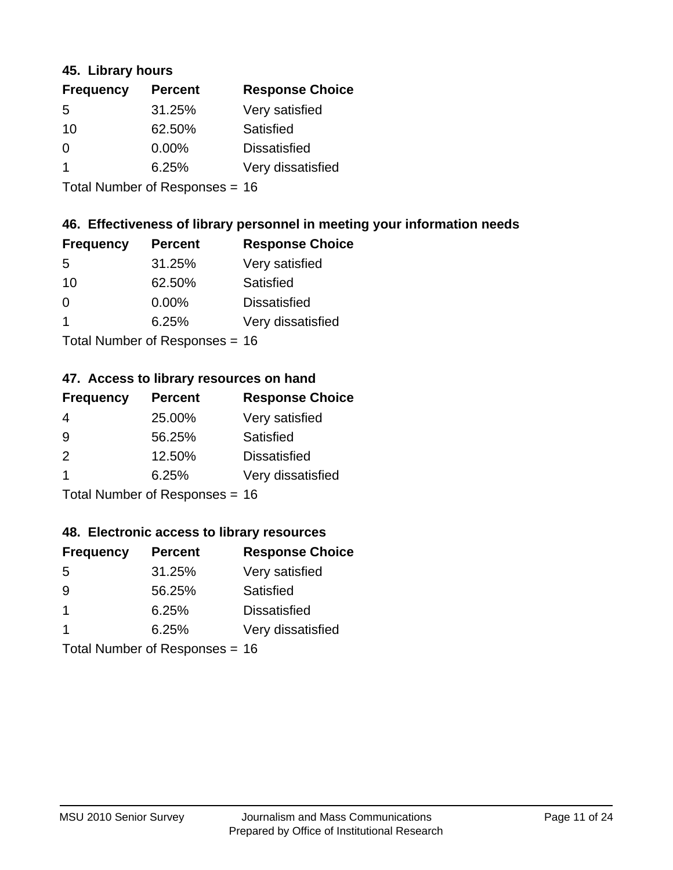### **45. Library hours**

| <b>Frequency</b> | <b>Percent</b> | <b>Response Choice</b> |
|------------------|----------------|------------------------|
| 5                | 31.25%         | Very satisfied         |
| 10               | 62.50%         | Satisfied              |
| $\Omega$         | 0.00%          | <b>Dissatisfied</b>    |
|                  | 6.25%          | Very dissatisfied      |
|                  |                |                        |

Total Number of Responses = 16

### **46. Effectiveness of library personnel in meeting your information needs**

| <b>Frequency</b> | <b>Percent</b> | <b>Response Choice</b> |
|------------------|----------------|------------------------|
| 5                | 31.25%         | Very satisfied         |
| 10               | 62.50%         | Satisfied              |
| $\Omega$         | 0.00%          | <b>Dissatisfied</b>    |
|                  | 6.25%          | Very dissatisfied      |
|                  |                |                        |

Total Number of Responses = 16

#### **47. Access to library resources on hand**

| <b>Frequency</b> | <b>Percent</b>            | <b>Response Choice</b> |
|------------------|---------------------------|------------------------|
| 4                | 25.00%                    | Very satisfied         |
| 9                | 56.25%                    | Satisfied              |
| $\mathcal{P}$    | 12.50%                    | <b>Dissatisfied</b>    |
|                  | 6.25%                     | Very dissatisfied      |
|                  | Total Number of Deepensee |                        |

Total Number of Responses = 16

#### **48. Electronic access to library resources**

| <b>Frequency</b> | <b>Percent</b>                 | <b>Response Choice</b> |
|------------------|--------------------------------|------------------------|
| 5                | 31.25%                         | Very satisfied         |
| 9                | 56.25%                         | Satisfied              |
| $\overline{1}$   | 6.25%                          | <b>Dissatisfied</b>    |
|                  | 6.25%                          | Very dissatisfied      |
|                  | Total Number of Responses = 16 |                        |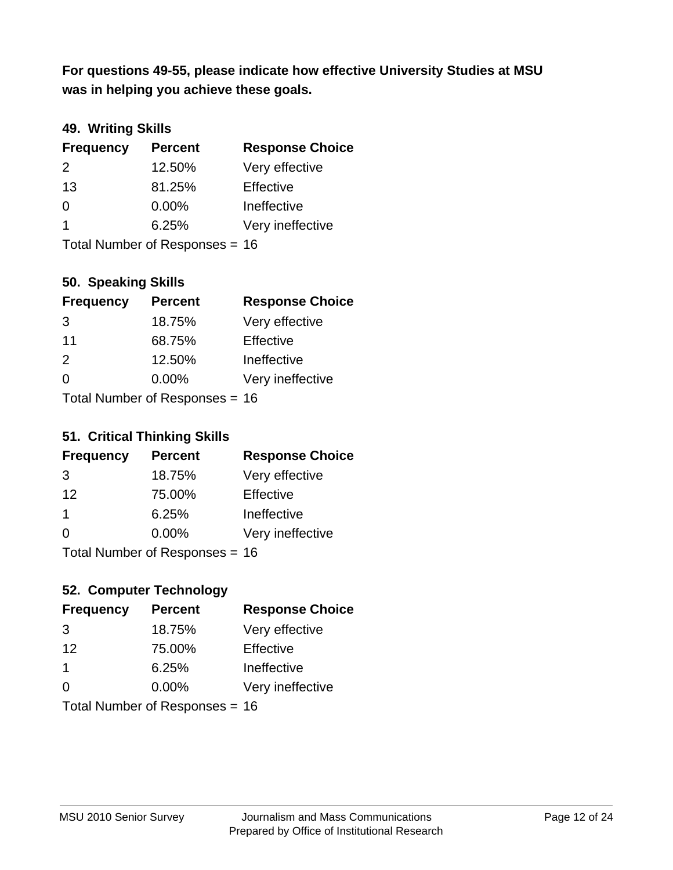**was in helping you achieve these goals. For questions 49-55, please indicate how effective University Studies at MSU** 

### **49. Writing Skills**

| <b>Frequency</b> | <b>Percent</b>                 | <b>Response Choice</b> |
|------------------|--------------------------------|------------------------|
| 2                | 12.50%                         | Very effective         |
| 13               | 81.25%                         | Effective              |
| $\Omega$         | $0.00\%$                       | Ineffective            |
| $\overline{1}$   | 6.25%                          | Very ineffective       |
|                  | Total Number of Responses = 16 |                        |

### **50. Speaking Skills**

| <b>Frequency</b> | <b>Percent</b>                 | <b>Response Choice</b> |
|------------------|--------------------------------|------------------------|
| 3                | 18.75%                         | Very effective         |
| 11               | 68.75%                         | Effective              |
| $\mathcal{P}$    | 12.50%                         | Ineffective            |
| $\Omega$         | $0.00\%$                       | Very ineffective       |
|                  | Total Number of Responses = 16 |                        |

#### **51. Critical Thinking Skills**

| <b>Frequency</b> | <b>Percent</b>               | <b>Response Choice</b> |
|------------------|------------------------------|------------------------|
| 3                | 18.75%                       | Very effective         |
| 12               | 75.00%                       | Effective              |
| -1               | 6.25%                        | Ineffective            |
| $\Omega$         | 0.00%                        | Very ineffective       |
|                  | $Total Number of Denonone -$ |                        |

Total Number of Responses = 16

### **52. Computer Technology**

| <b>Frequency</b> | <b>Percent</b>                 | <b>Response Choice</b> |
|------------------|--------------------------------|------------------------|
| 3                | 18.75%                         | Very effective         |
| 12               | 75.00%                         | Effective              |
| $\mathbf 1$      | 6.25%                          | Ineffective            |
| $\Omega$         | 0.00%                          | Very ineffective       |
|                  | Total Number of Responses = 16 |                        |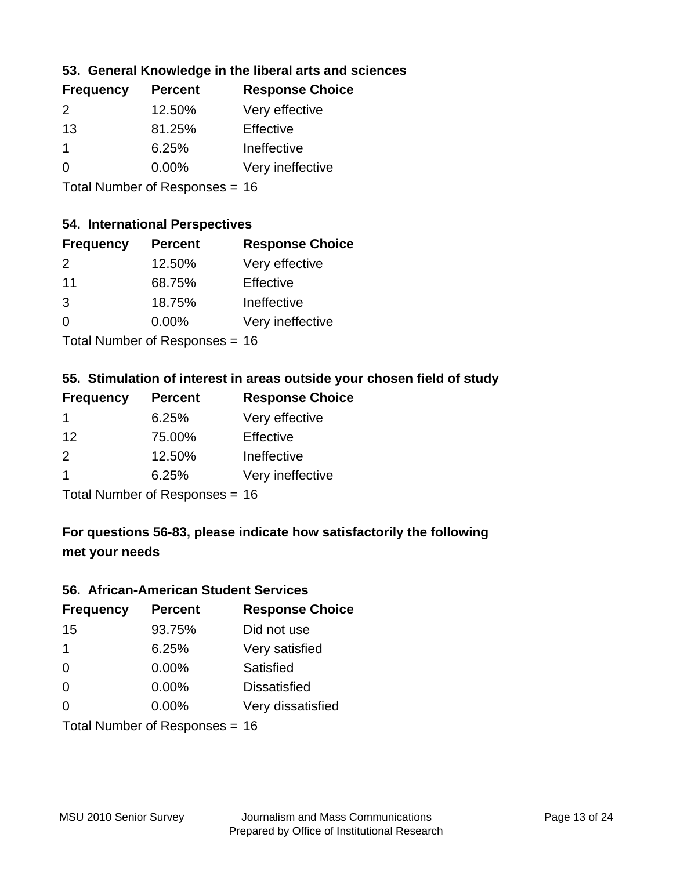### **53. General Knowledge in the liberal arts and sciences**

| <b>Frequency</b> | <b>Percent</b> | <b>Response Choice</b> |
|------------------|----------------|------------------------|
| $\mathcal{P}$    | 12.50%         | Very effective         |
| 13               | 81.25%         | Effective              |
|                  | 6.25%          | Ineffective            |
| $\Omega$         | $0.00\%$       | Very ineffective       |
|                  |                |                        |

Total Number of Responses = 16

#### **54. International Perspectives**

| <b>Frequency</b> | <b>Percent</b> | <b>Response Choice</b> |
|------------------|----------------|------------------------|
| 2                | 12.50%         | Very effective         |
| 11               | 68.75%         | Effective              |
| 3                | 18.75%         | Ineffective            |
| $\Omega$         | 0.00%          | Very ineffective       |
|                  |                |                        |

Total Number of Responses = 16

## **55. Stimulation of interest in areas outside your chosen field of study**

| <b>Frequency</b> | <b>Percent</b>                  | <b>Response Choice</b> |
|------------------|---------------------------------|------------------------|
| $\mathbf 1$      | 6.25%                           | Very effective         |
| 12               | 75.00%                          | Effective              |
| $\mathcal{P}$    | 12.50%                          | Ineffective            |
| -1               | 6.25%                           | Very ineffective       |
|                  | $Total Number of Denonose = 16$ |                        |

Total Number of Responses = 16

## **For questions 56-83, please indicate how satisfactorily the following met your needs**

#### **56. African-American Student Services**

| <b>Frequency</b> | <b>Percent</b>                 | <b>Response Choice</b> |
|------------------|--------------------------------|------------------------|
| 15               | 93.75%                         | Did not use            |
| $\mathbf 1$      | 6.25%                          | Very satisfied         |
| $\Omega$         | 0.00%                          | Satisfied              |
| 0                | $0.00\%$                       | <b>Dissatisfied</b>    |
| $\Omega$         | 0.00%                          | Very dissatisfied      |
|                  | Total Number of Responses = 16 |                        |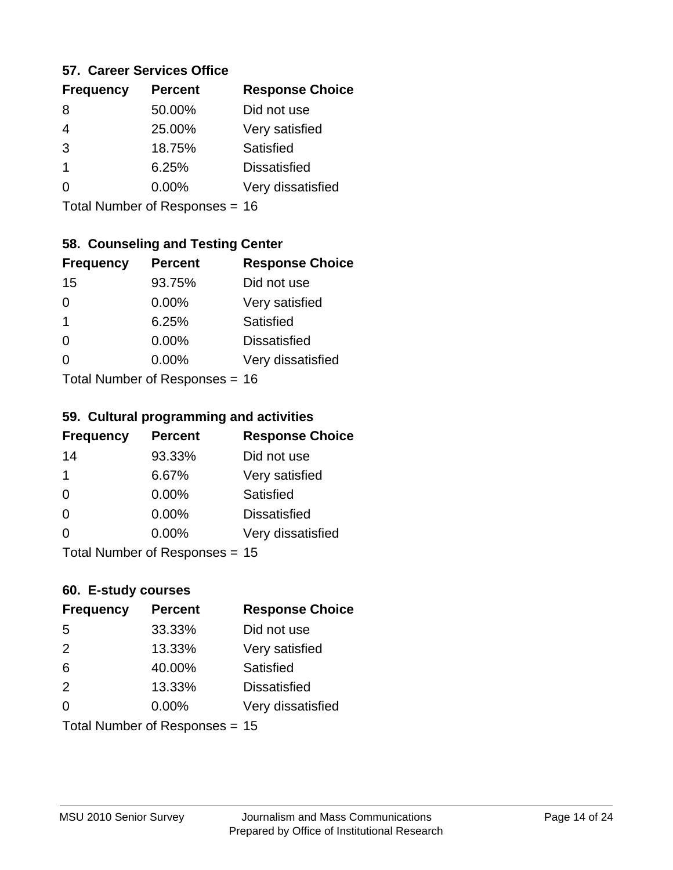#### **57. Career Services Office**

| <b>Frequency</b> | <b>Percent</b> | <b>Response Choice</b> |
|------------------|----------------|------------------------|
| 8                | 50.00%         | Did not use            |
|                  | 25.00%         | Very satisfied         |
| 3                | 18.75%         | Satisfied              |
| 1                | 6.25%          | <b>Dissatisfied</b>    |
|                  | $0.00\%$       | Very dissatisfied      |
|                  |                |                        |

Total Number of Responses = 16

### **58. Counseling and Testing Center**

| <b>Frequency</b> | <b>Percent</b>            | <b>Response Choice</b> |
|------------------|---------------------------|------------------------|
| 15               | 93.75%                    | Did not use            |
| 0                | 0.00%                     | Very satisfied         |
| 1                | 6.25%                     | Satisfied              |
| 0                | 0.00%                     | <b>Dissatisfied</b>    |
| 0                | 0.00%                     | Very dissatisfied      |
|                  | Total Number of Desponses |                        |

Total Number of Responses = 16

#### **59. Cultural programming and activities**

| <b>Frequency</b> | <b>Percent</b>                 | <b>Response Choice</b> |
|------------------|--------------------------------|------------------------|
| 14               | 93.33%                         | Did not use            |
| 1                | 6.67%                          | Very satisfied         |
| $\Omega$         | 0.00%                          | Satisfied              |
| $\Omega$         | 0.00%                          | <b>Dissatisfied</b>    |
| $\Omega$         | $0.00\%$                       | Very dissatisfied      |
|                  | Total Number of Responses = 15 |                        |

#### **60. E-study courses**

| <b>Frequency</b> | <b>Percent</b>                 | <b>Response Choice</b> |
|------------------|--------------------------------|------------------------|
| 5                | 33.33%                         | Did not use            |
| 2                | 13.33%                         | Very satisfied         |
| 6                | 40.00%                         | Satisfied              |
| 2                | 13.33%                         | <b>Dissatisfied</b>    |
| $\Omega$         | $0.00\%$                       | Very dissatisfied      |
|                  | Total Number of Responses = 15 |                        |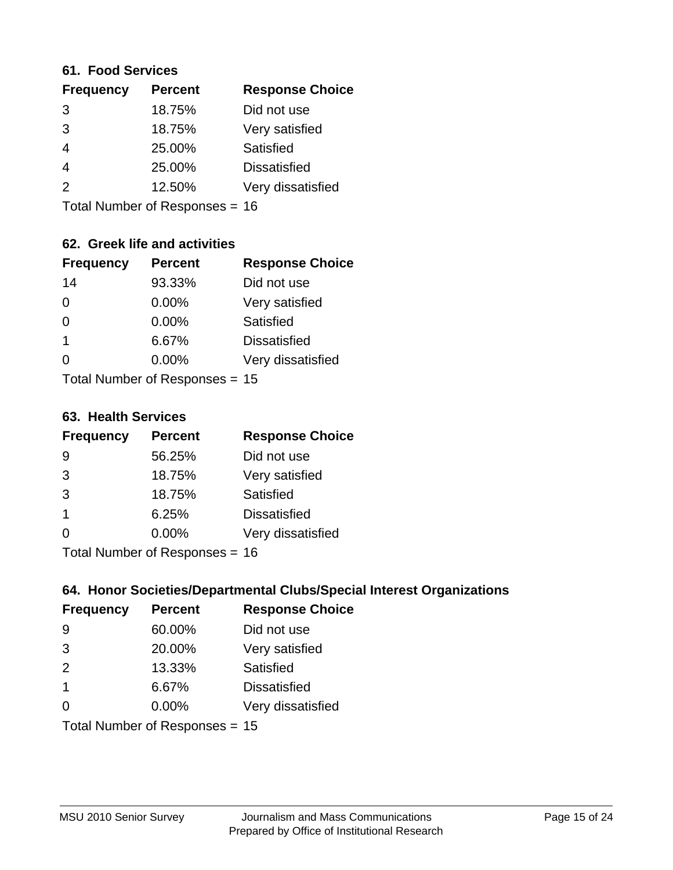#### **61. Food Services**

| <b>Frequency</b> | <b>Percent</b> | <b>Response Choice</b> |
|------------------|----------------|------------------------|
| 3                | 18.75%         | Did not use            |
| 3                | 18.75%         | Very satisfied         |
| $\overline{4}$   | 25.00%         | Satisfied              |
| $\overline{4}$   | 25.00%         | <b>Dissatisfied</b>    |
| $\mathcal{P}$    | 12.50%         | Very dissatisfied      |
|                  |                |                        |

Total Number of Responses = 16

### **62. Greek life and activities**

| <b>Frequency</b> | <b>Percent</b>                 | <b>Response Choice</b> |
|------------------|--------------------------------|------------------------|
| 14               | 93.33%                         | Did not use            |
| 0                | 0.00%                          | Very satisfied         |
| $\Omega$         | 0.00%                          | Satisfied              |
| 1                | 6.67%                          | <b>Dissatisfied</b>    |
| 0                | $0.00\%$                       | Very dissatisfied      |
|                  | Total Number of Responses = 15 |                        |

**63. Health Services**

| <b>Frequency</b>        | <b>Percent</b>             | <b>Response Choice</b> |
|-------------------------|----------------------------|------------------------|
| 9                       | 56.25%                     | Did not use            |
| 3                       | 18.75%                     | Very satisfied         |
| 3                       | 18.75%                     | Satisfied              |
| $\overline{\mathbf{1}}$ | 6.25%                      | <b>Dissatisfied</b>    |
| $\Omega$                | 0.00%                      | Very dissatisfied      |
|                         | Total Number of Deepersoon |                        |

Total Number of Responses = 16

### **64. Honor Societies/Departmental Clubs/Special Interest Organizations**

| <b>Frequency</b>        | <b>Percent</b>                 | <b>Response Choice</b> |
|-------------------------|--------------------------------|------------------------|
| 9                       | 60.00%                         | Did not use            |
| 3                       | 20.00%                         | Very satisfied         |
| 2                       | 13.33%                         | Satisfied              |
| $\overline{\mathbf{1}}$ | 6.67%                          | <b>Dissatisfied</b>    |
| $\Omega$                | 0.00%                          | Very dissatisfied      |
|                         | Total Number of Responses = 15 |                        |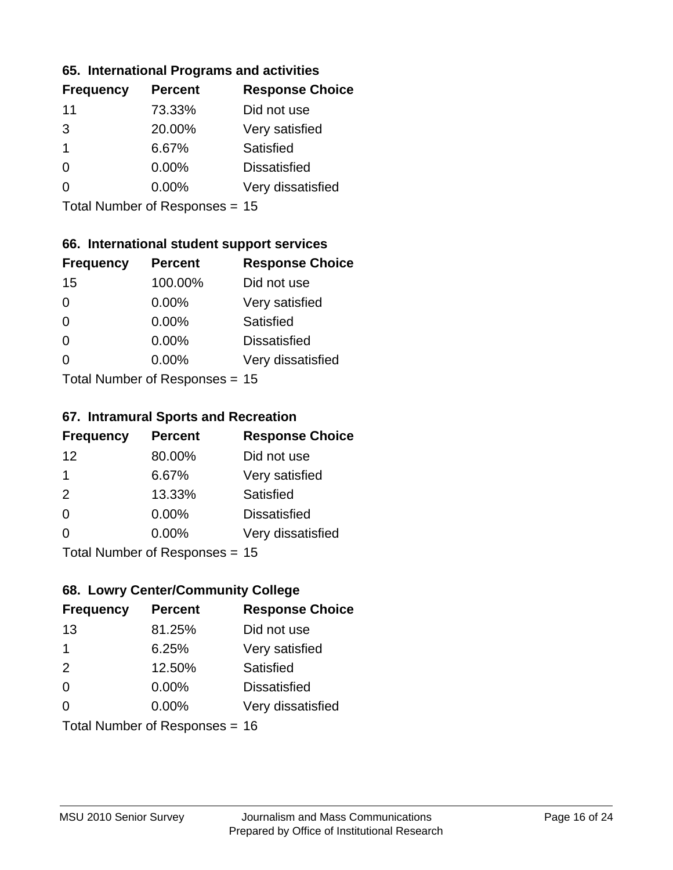### **65. International Programs and activities**

| <b>Frequency</b> | <b>Percent</b> | <b>Response Choice</b> |
|------------------|----------------|------------------------|
| 11               | 73.33%         | Did not use            |
| 3                | 20.00%         | Very satisfied         |
| 1                | 6.67%          | Satisfied              |
| O                | $0.00\%$       | <b>Dissatisfied</b>    |
|                  | 0.00%          | Very dissatisfied      |
|                  |                |                        |

Total Number of Responses = 15

### **66. International student support services**

| <b>Frequency</b> | <b>Percent</b>            | <b>Response Choice</b> |
|------------------|---------------------------|------------------------|
| 15               | 100.00%                   | Did not use            |
| $\Omega$         | 0.00%                     | Very satisfied         |
| $\Omega$         | $0.00\%$                  | <b>Satisfied</b>       |
| $\Omega$         | 0.00%                     | <b>Dissatisfied</b>    |
| $\Omega$         | 0.00%                     | Very dissatisfied      |
|                  | Total Number of Desponses |                        |

Total Number of Responses = 15

#### **67. Intramural Sports and Recreation**

| <b>Frequency</b> | <b>Percent</b>                  | <b>Response Choice</b> |
|------------------|---------------------------------|------------------------|
| 12               | 80.00%                          | Did not use            |
| 1                | 6.67%                           | Very satisfied         |
| 2                | 13.33%                          | Satisfied              |
| $\Omega$         | $0.00\%$                        | <b>Dissatisfied</b>    |
| $\Omega$         | $0.00\%$                        | Very dissatisfied      |
|                  | $Total Number of Denonose = 45$ |                        |

I otal Number of Responses = 15

### **68. Lowry Center/Community College**

| <b>Frequency</b> | <b>Percent</b>                 | <b>Response Choice</b> |
|------------------|--------------------------------|------------------------|
| 13               | 81.25%                         | Did not use            |
| 1                | 6.25%                          | Very satisfied         |
| 2                | 12.50%                         | Satisfied              |
| $\Omega$         | $0.00\%$                       | <b>Dissatisfied</b>    |
| $\Omega$         | $0.00\%$                       | Very dissatisfied      |
|                  | Total Number of Responses = 16 |                        |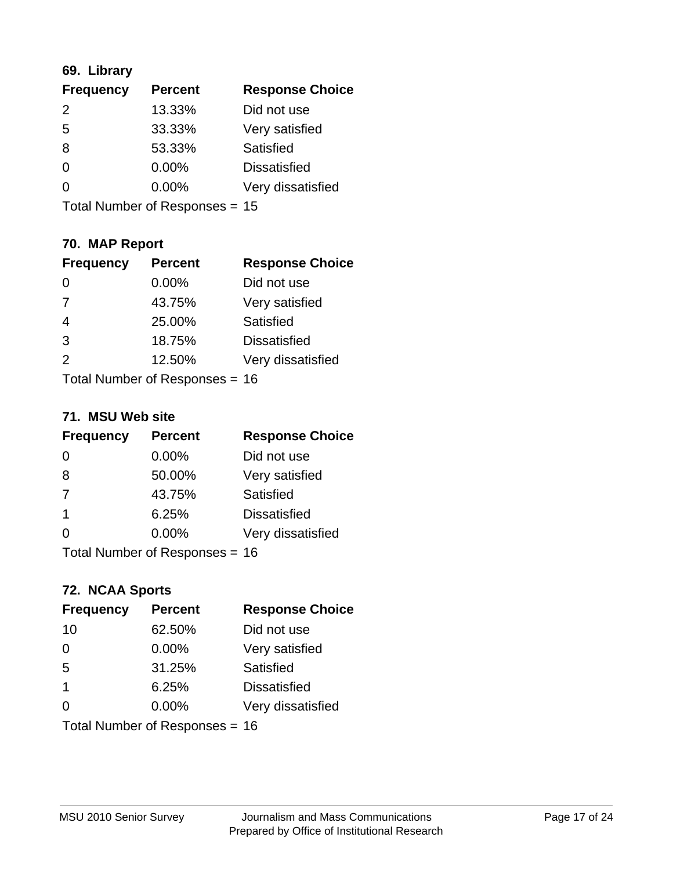### **69. Library**

| <b>Frequency</b> | <b>Percent</b> | <b>Response Choice</b> |
|------------------|----------------|------------------------|
| $\mathcal{P}$    | 13.33%         | Did not use            |
| 5                | 33.33%         | Very satisfied         |
| 8                | 53.33%         | Satisfied              |
| $\Omega$         | $0.00\%$       | <b>Dissatisfied</b>    |
| $\Omega$         | $0.00\%$       | Very dissatisfied      |
|                  |                |                        |

Total Number of Responses = 15

### **70. MAP Report**

| <b>Frequency</b> | <b>Percent</b>                 | <b>Response Choice</b> |
|------------------|--------------------------------|------------------------|
|                  | 0.00%                          | Did not use            |
| 7                | 43.75%                         | Very satisfied         |
| $\overline{4}$   | 25.00%                         | Satisfied              |
| 3                | 18.75%                         | <b>Dissatisfied</b>    |
| 2                | 12.50%                         | Very dissatisfied      |
|                  | Total Number of Responses = 16 |                        |

#### **71. MSU Web site**

| <b>Frequency</b> | <b>Percent</b>                 | <b>Response Choice</b> |
|------------------|--------------------------------|------------------------|
| $\Omega$         | $0.00\%$                       | Did not use            |
| 8                | 50.00%                         | Very satisfied         |
| 7                | 43.75%                         | Satisfied              |
| -1               | 6.25%                          | <b>Dissatisfied</b>    |
| ∩                | 0.00%                          | Very dissatisfied      |
|                  | Total Number of Responses = 16 |                        |

### **72. NCAA Sports**

| <b>Frequency</b> | <b>Percent</b>                 | <b>Response Choice</b> |
|------------------|--------------------------------|------------------------|
| 10               | 62.50%                         | Did not use            |
| $\Omega$         | 0.00%                          | Very satisfied         |
| 5                | 31.25%                         | Satisfied              |
| $\overline{1}$   | 6.25%                          | <b>Dissatisfied</b>    |
| $\Omega$         | $0.00\%$                       | Very dissatisfied      |
|                  | Total Number of Responses = 16 |                        |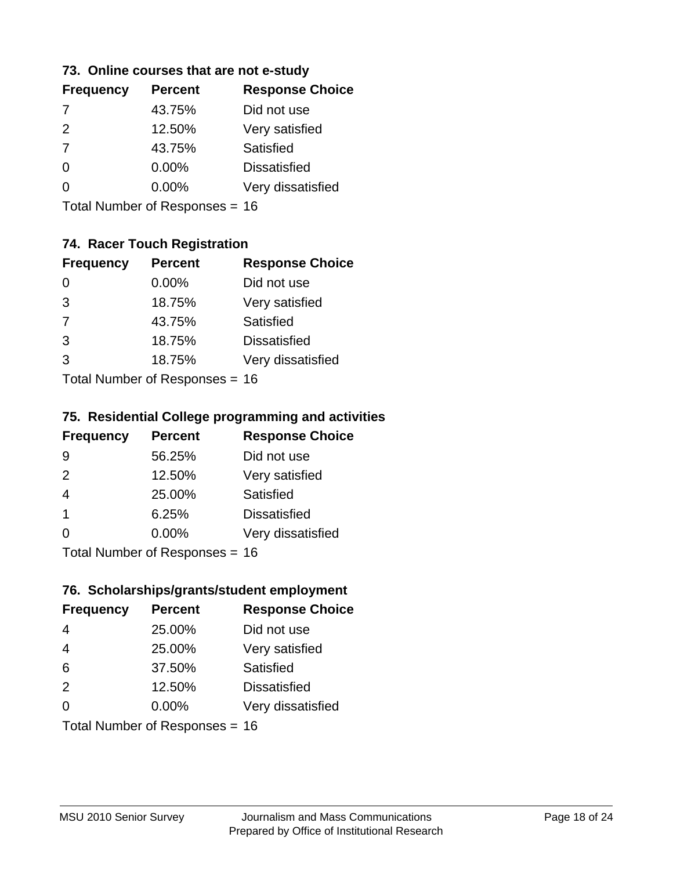### **73. Online courses that are not e-study**

| <b>Frequency</b> | <b>Percent</b> | <b>Response Choice</b> |
|------------------|----------------|------------------------|
| 7                | 43.75%         | Did not use            |
| $\mathcal{P}$    | 12.50%         | Very satisfied         |
| $\overline{7}$   | 43.75%         | Satisfied              |
| 0                | 0.00%          | <b>Dissatisfied</b>    |
|                  | $0.00\%$       | Very dissatisfied      |
|                  |                |                        |

Total Number of Responses = 16

### **74. Racer Touch Registration**

| <b>Frequency</b>           | <b>Percent</b> | <b>Response Choice</b> |
|----------------------------|----------------|------------------------|
| 0                          | $0.00\%$       | Did not use            |
| 3                          | 18.75%         | Very satisfied         |
| 7                          | 43.75%         | Satisfied              |
| 3                          | 18.75%         | <b>Dissatisfied</b>    |
| 3                          | 18.75%         | Very dissatisfied      |
| Total Number of Deepersoon |                |                        |

Total Number of Responses = 16

#### **75. Residential College programming and activities**

| <b>Frequency</b> | <b>Percent</b>            | <b>Response Choice</b> |
|------------------|---------------------------|------------------------|
| 9                | 56.25%                    | Did not use            |
| 2                | 12.50%                    | Very satisfied         |
| $\overline{4}$   | 25.00%                    | Satisfied              |
| -1               | 6.25%                     | <b>Dissatisfied</b>    |
| $\Omega$         | 0.00%                     | Very dissatisfied      |
|                  | Total Number of DoEROR 0. |                        |

Total Number of Responses = 16

#### **76. Scholarships/grants/student employment**

| <b>Frequency</b> | <b>Percent</b>                 | <b>Response Choice</b> |
|------------------|--------------------------------|------------------------|
| $\overline{4}$   | 25.00%                         | Did not use            |
| $\overline{4}$   | 25.00%                         | Very satisfied         |
| 6                | 37.50%                         | <b>Satisfied</b>       |
| 2                | 12.50%                         | <b>Dissatisfied</b>    |
| $\Omega$         | 0.00%                          | Very dissatisfied      |
|                  | Total Number of Responses = 16 |                        |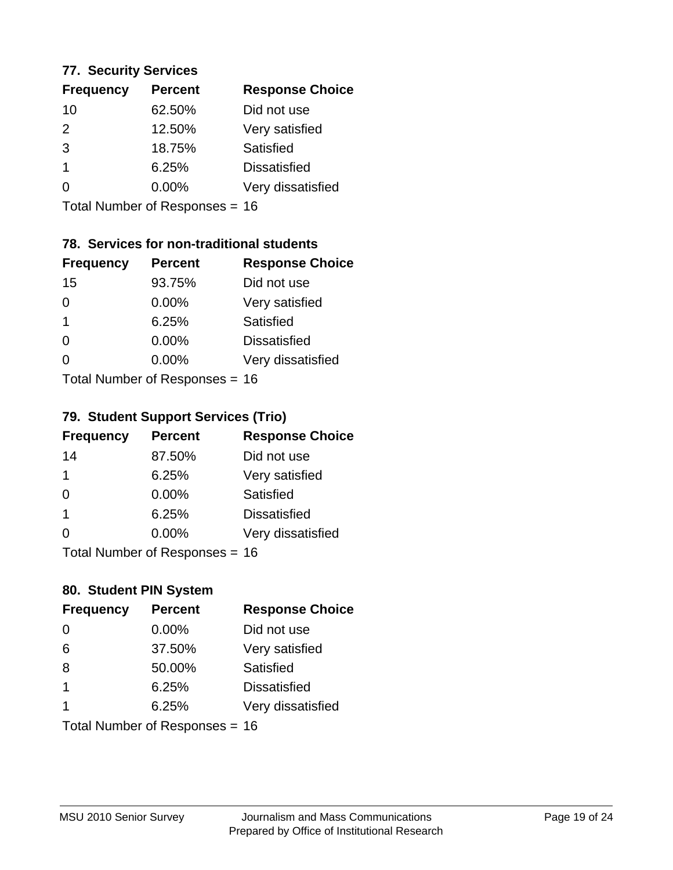#### **77. Security Services**

| <b>Response Choice</b> |
|------------------------|
| Did not use            |
| Very satisfied         |
| Satisfied              |
| <b>Dissatisfied</b>    |
| Very dissatisfied      |
|                        |

Total Number of Responses = 16

### **78. Services for non-traditional students**

| <b>Frequency</b>          | <b>Percent</b> | <b>Response Choice</b> |
|---------------------------|----------------|------------------------|
| 15                        | 93.75%         | Did not use            |
| $\Omega$                  | 0.00%          | Very satisfied         |
| $\overline{1}$            | 6.25%          | <b>Satisfied</b>       |
| $\Omega$                  | 0.00%          | <b>Dissatisfied</b>    |
| ∩                         | 0.00%          | Very dissatisfied      |
| Total Number of Desponses |                |                        |

Total Number of Responses = 16

### **79. Student Support Services (Trio)**

| <b>Frequency</b> | <b>Percent</b>            | <b>Response Choice</b> |
|------------------|---------------------------|------------------------|
| 14               | 87.50%                    | Did not use            |
| 1                | 6.25%                     | Very satisfied         |
| $\Omega$         | $0.00\%$                  | Satisfied              |
| $\mathbf 1$      | 6.25%                     | <b>Dissatisfied</b>    |
| $\Omega$         | $0.00\%$                  | Very dissatisfied      |
|                  | Total Number of DoEROR 0. |                        |

I otal Number of Responses = 16

### **80. Student PIN System**

| <b>Frequency</b>        | <b>Percent</b>                 | <b>Response Choice</b> |
|-------------------------|--------------------------------|------------------------|
| 0                       | 0.00%                          | Did not use            |
| 6                       | 37.50%                         | Very satisfied         |
| 8                       | 50.00%                         | Satisfied              |
| $\overline{\mathbf{1}}$ | 6.25%                          | <b>Dissatisfied</b>    |
|                         | 6.25%                          | Very dissatisfied      |
|                         | Total Number of Responses = 16 |                        |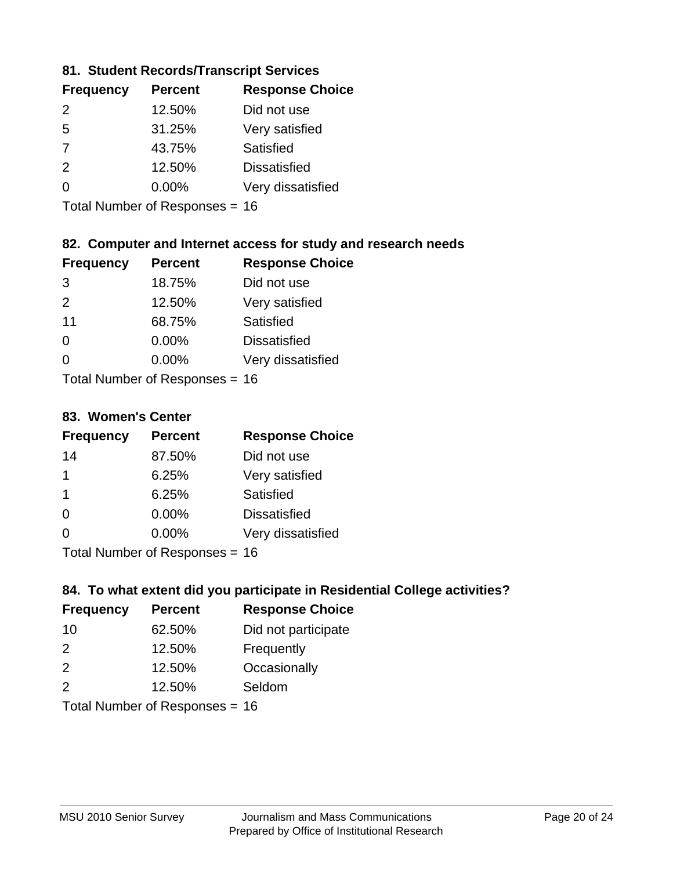### **81. Student Records/Transcript Services**

| <b>Percent</b> | <b>Response Choice</b> |
|----------------|------------------------|
| 12.50%         | Did not use            |
| 31.25%         | Very satisfied         |
| 43.75%         | Satisfied              |
| 12.50%         | <b>Dissatisfied</b>    |
| $0.00\%$       | Very dissatisfied      |
|                |                        |

Total Number of Responses = 16

### **82. Computer and Internet access for study and research needs**

| <b>Frequency</b>           | <b>Percent</b> | <b>Response Choice</b> |
|----------------------------|----------------|------------------------|
| 3                          | 18.75%         | Did not use            |
| $\mathcal{P}$              | 12.50%         | Very satisfied         |
| 11                         | 68.75%         | Satisfied              |
| 0                          | 0.00%          | <b>Dissatisfied</b>    |
| ∩                          | 0.00%          | Very dissatisfied      |
| Tatal Number of Desperance |                |                        |

Total Number of Responses = 16

#### **83. Women's Center**

| <b>Frequency</b>           | <b>Percent</b> | <b>Response Choice</b> |
|----------------------------|----------------|------------------------|
| 14                         | 87.50%         | Did not use            |
| 1                          | 6.25%          | Very satisfied         |
| -1                         | 6.25%          | Satisfied              |
| $\Omega$                   | 0.00%          | <b>Dissatisfied</b>    |
| $\Omega$                   | 0.00%          | Very dissatisfied      |
| Total Number of Desperance |                |                        |

Total Number of Responses = 16

### **84. To what extent did you participate in Residential College activities?**

| <b>Frequency</b>            | <b>Percent</b> | <b>Response Choice</b> |
|-----------------------------|----------------|------------------------|
| 10                          | 62.50%         | Did not participate    |
| $\mathcal{P}$               | 12.50%         | Frequently             |
| 2                           | 12.50%         | Occasionally           |
| 2                           | 12.50%         | Seldom                 |
| Tatal Massakan af Dagmannar |                |                        |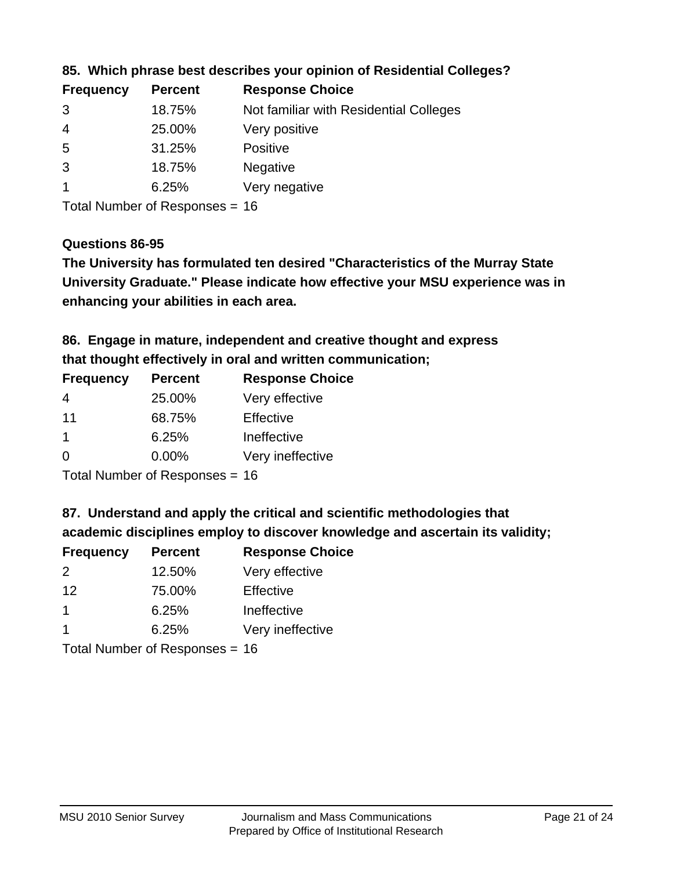| <b>Frequency</b> | <b>Percent</b> | <b>Response Choice</b>                 |
|------------------|----------------|----------------------------------------|
| 3                | 18.75%         | Not familiar with Residential Colleges |
| $\overline{4}$   | 25.00%         | Very positive                          |
| -5               | 31.25%         | <b>Positive</b>                        |
| 3                | 18.75%         | <b>Negative</b>                        |
|                  | 6.25%          | Very negative                          |
|                  |                |                                        |

### **85. Which phrase best describes your opinion of Residential Colleges?**

Total Number of Responses = 16

#### **Questions 86-95**

**University Graduate." Please indicate how effective your MSU experience was in The University has formulated ten desired "Characteristics of the Murray State enhancing your abilities in each area.**

**86. Engage in mature, independent and creative thought and express that thought effectively in oral and written communication;**

| <b>Percent</b> | <b>Response Choice</b> |
|----------------|------------------------|
| 25.00%         | Very effective         |
| 68.75%         | Effective              |
| 6.25%          | Ineffective            |
| $0.00\%$       | Very ineffective       |
|                |                        |

Total Number of Responses = 16

#### **87. Understand and apply the critical and scientific methodologies that**

**academic disciplines employ to discover knowledge and ascertain its validity;**

| <b>Frequency</b>                         | <b>Percent</b> | <b>Response Choice</b> |
|------------------------------------------|----------------|------------------------|
| $\mathcal{P}$                            | 12.50%         | Very effective         |
| 12                                       | 75.00%         | Effective              |
| 1                                        | 6.25%          | Ineffective            |
|                                          | 6.25%          | Very ineffective       |
| $T$ at all Message and $D$ are a serious |                |                        |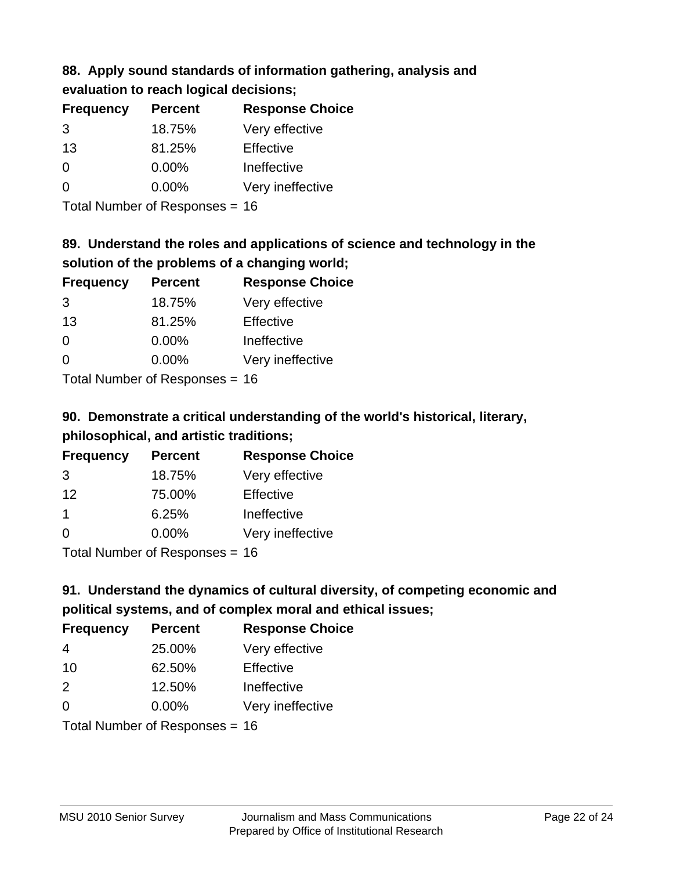### **88. Apply sound standards of information gathering, analysis and evaluation to reach logical decisions;**

| <b>Percent</b> | <b>Response Choice</b> |
|----------------|------------------------|
| 18.75%         | Very effective         |
| 81.25%         | Effective              |
| 0.00%          | Ineffective            |
| 0.00%          | Very ineffective       |
|                |                        |

Total Number of Responses = 16

## **89. Understand the roles and applications of science and technology in the solution of the problems of a changing world;**

| <b>Frequency</b> | <b>Percent</b>                            | <b>Response Choice</b> |
|------------------|-------------------------------------------|------------------------|
| 3                | 18.75%                                    | Very effective         |
| 13               | 81.25%                                    | Effective              |
| $\Omega$         | 0.00%                                     | Ineffective            |
| $\Omega$         | 0.00%                                     | Very ineffective       |
|                  | $\tau$ . The state of $\sim$ state $\sim$ |                        |

Total Number of Responses = 16

## **90. Demonstrate a critical understanding of the world's historical, literary, philosophical, and artistic traditions;**

| <b>Frequency</b> | <b>Percent</b> | <b>Response Choice</b> |
|------------------|----------------|------------------------|
| 3                | 18.75%         | Very effective         |
| 12               | 75.00%         | Effective              |
| $\mathbf 1$      | 6.25%          | Ineffective            |
| $\Omega$         | 0.00%          | Very ineffective       |
|                  |                |                        |

Total Number of Responses = 16

## **91. Understand the dynamics of cultural diversity, of competing economic and political systems, and of complex moral and ethical issues;**

| <b>Frequency</b> | <b>Percent</b>                 | <b>Response Choice</b> |
|------------------|--------------------------------|------------------------|
| 4                | 25.00%                         | Very effective         |
| 10               | 62.50%                         | Effective              |
| 2                | 12.50%                         | Ineffective            |
| $\Omega$         | 0.00%                          | Very ineffective       |
|                  | Total Number of Responses = 16 |                        |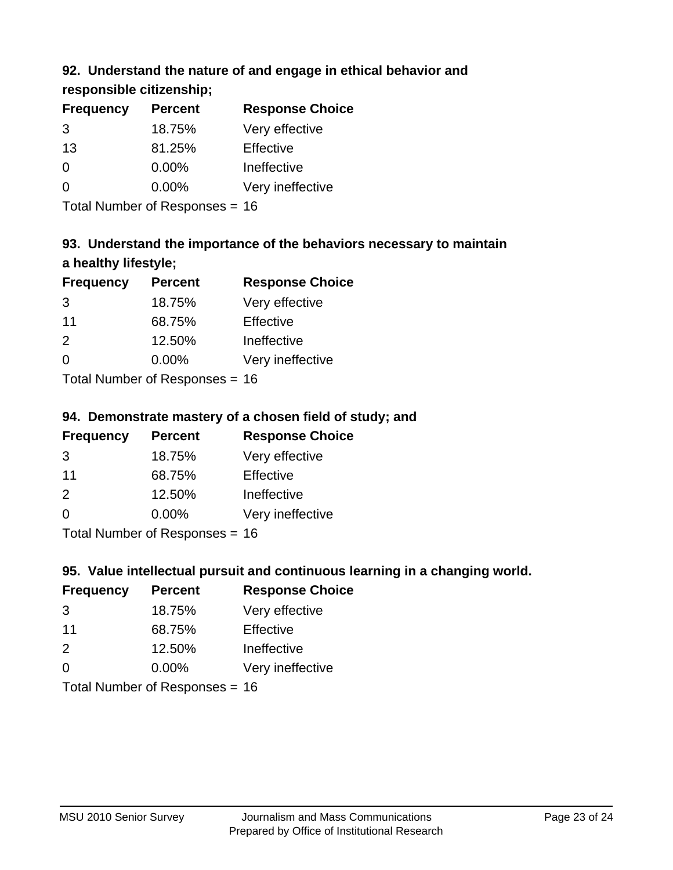### **92. Understand the nature of and engage in ethical behavior and**

**responsible citizenship;**

| <b>Frequency</b> | <b>Percent</b> | <b>Response Choice</b> |
|------------------|----------------|------------------------|
| 3                | 18.75%         | Very effective         |
| 13               | 81.25%         | Effective              |
| 0                | $0.00\%$       | Ineffective            |
| ∩                | $0.00\%$       | Very ineffective       |
|                  |                |                        |

Total Number of Responses = 16

## **93. Understand the importance of the behaviors necessary to maintain a healthy lifestyle;**

| <b>Frequency</b> | <b>Percent</b>             | <b>Response Choice</b> |
|------------------|----------------------------|------------------------|
| 3                | 18.75%                     | Very effective         |
| 11               | 68.75%                     | Effective              |
| $\mathcal{P}$    | 12.50%                     | Ineffective            |
| $\Omega$         | 0.00%                      | Very ineffective       |
|                  | Tatal Number of Desperance |                        |

Total Number of Responses = 16

### **94. Demonstrate mastery of a chosen field of study; and**

| <b>Frequency</b> | <b>Percent</b> | <b>Response Choice</b> |
|------------------|----------------|------------------------|
| 3                | 18.75%         | Very effective         |
| 11               | 68.75%         | Effective              |
| $\mathcal{P}$    | 12.50%         | Ineffective            |
| $\Omega$         | $0.00\%$       | Very ineffective       |
|                  |                |                        |

Total Number of Responses = 16

### **95. Value intellectual pursuit and continuous learning in a changing world.**

| <b>Frequency</b> | <b>Percent</b> | <b>Response Choice</b> |
|------------------|----------------|------------------------|
| 3                | 18.75%         | Very effective         |
| 11               | 68.75%         | Effective              |
| $\mathcal{P}$    | 12.50%         | Ineffective            |
| $\Omega$         | 0.00%          | Very ineffective       |
|                  |                |                        |